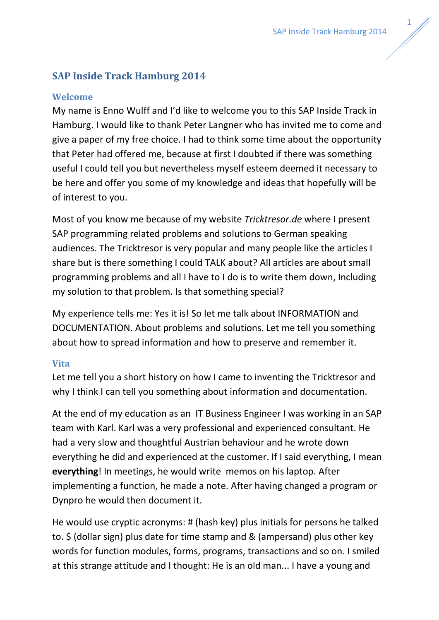# **SAP Inside Track Hamburg 2014**

### **Welcome**

My name is Enno Wulff and I'd like to welcome you to this SAP Inside Track in Hamburg. I would like to thank Peter Langner who has invited me to come and give a paper of my free choice. I had to think some time about the opportunity that Peter had offered me, because at first I doubted if there was something useful I could tell you but nevertheless myself esteem deemed it necessary to be here and offer you some of my knowledge and ideas that hopefully will be of interest to you.

Most of you know me because of my website *Tricktresor.de* where I present SAP programming related problems and solutions to German speaking audiences. The Tricktresor is very popular and many people like the articles I share but is there something I could TALK about? All articles are about small programming problems and all I have to I do is to write them down, Including my solution to that problem. Is that something special?

My experience tells me: Yes it is! So let me talk about INFORMATION and DOCUMENTATION. About problems and solutions. Let me tell you something about how to spread information and how to preserve and remember it.

#### **Vita**

Let me tell you a short history on how I came to inventing the Tricktresor and why I think I can tell you something about information and documentation.

At the end of my education as an IT Business Engineer I was working in an SAP team with Karl. Karl was a very professional and experienced consultant. He had a very slow and thoughtful Austrian behaviour and he wrote down everything he did and experienced at the customer. If I said everything, I mean **everything**! In meetings, he would write memos on his laptop. After implementing a function, he made a note. After having changed a program or Dynpro he would then document it.

He would use cryptic acronyms: # (hash key) plus initials for persons he talked to. \$ (dollar sign) plus date for time stamp and & (ampersand) plus other key words for function modules, forms, programs, transactions and so on. I smiled at this strange attitude and I thought: He is an old man... I have a young and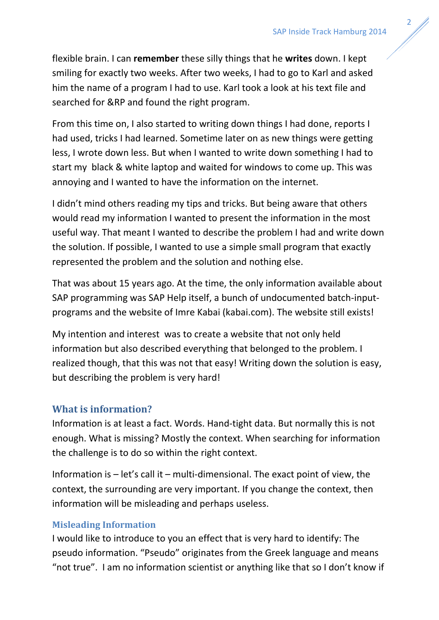flexible brain. I can **remember** these silly things that he **writes** down. I kept smiling for exactly two weeks. After two weeks, I had to go to Karl and asked him the name of a program I had to use. Karl took a look at his text file and searched for &RP and found the right program.

From this time on, I also started to writing down things I had done, reports I had used, tricks I had learned. Sometime later on as new things were getting less, I wrote down less. But when I wanted to write down something I had to start my black & white laptop and waited for windows to come up. This was annoying and I wanted to have the information on the internet.

I didn't mind others reading my tips and tricks. But being aware that others would read my information I wanted to present the information in the most useful way. That meant I wanted to describe the problem I had and write down the solution. If possible, I wanted to use a simple small program that exactly represented the problem and the solution and nothing else.

That was about 15 years ago. At the time, the only information available about SAP programming was SAP Help itself, a bunch of undocumented batch-inputprograms and the website of Imre Kabai (kabai.com). The website still exists!

My intention and interest was to create a website that not only held information but also described everything that belonged to the problem. I realized though, that this was not that easy! Writing down the solution is easy, but describing the problem is very hard!

## **What is information?**

Information is at least a fact. Words. Hand-tight data. But normally this is not enough. What is missing? Mostly the context. When searching for information the challenge is to do so within the right context.

Information is  $-$  let's call it  $-$  multi-dimensional. The exact point of view, the context, the surrounding are very important. If you change the context, then information will be misleading and perhaps useless.

### **Misleading Information**

I would like to introduce to you an effect that is very hard to identify: The pseudo information. "Pseudo" originates from the Greek language and means "not true". I am no information scientist or anything like that so I don't know if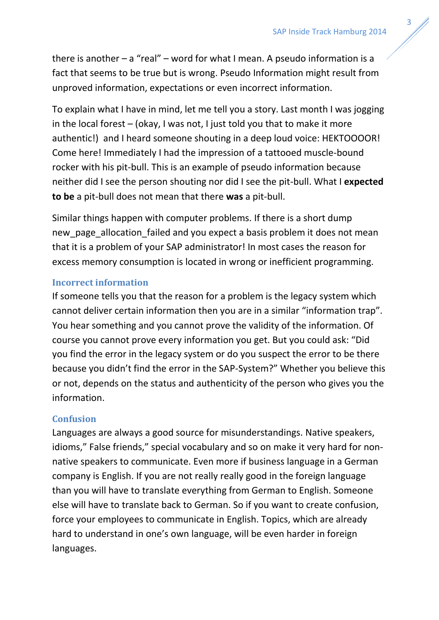there is another  $-a$  "real" – word for what I mean. A pseudo information is a fact that seems to be true but is wrong. Pseudo Information might result from unproved information, expectations or even incorrect information.

To explain what I have in mind, let me tell you a story. Last month I was jogging in the local forest – (okay, I was not, I just told you that to make it more authentic!) and I heard someone shouting in a deep loud voice: HEKTOOOOR! Come here! Immediately I had the impression of a tattooed muscle-bound rocker with his pit-bull. This is an example of pseudo information because neither did I see the person shouting nor did I see the pit-bull. What I **expected to be** a pit-bull does not mean that there **was** a pit-bull.

Similar things happen with computer problems. If there is a short dump new page allocation failed and you expect a basis problem it does not mean that it is a problem of your SAP administrator! In most cases the reason for excess memory consumption is located in wrong or inefficient programming.

### **Incorrect information**

If someone tells you that the reason for a problem is the legacy system which cannot deliver certain information then you are in a similar "information trap". You hear something and you cannot prove the validity of the information. Of course you cannot prove every information you get. But you could ask: "Did you find the error in the legacy system or do you suspect the error to be there because you didn't find the error in the SAP-System?" Whether you believe this or not, depends on the status and authenticity of the person who gives you the information.

### **Confusion**

Languages are always a good source for misunderstandings. Native speakers, idioms," False friends," special vocabulary and so on make it very hard for nonnative speakers to communicate. Even more if business language in a German company is English. If you are not really really good in the foreign language than you will have to translate everything from German to English. Someone else will have to translate back to German. So if you want to create confusion, force your employees to communicate in English. Topics, which are already hard to understand in one's own language, will be even harder in foreign languages.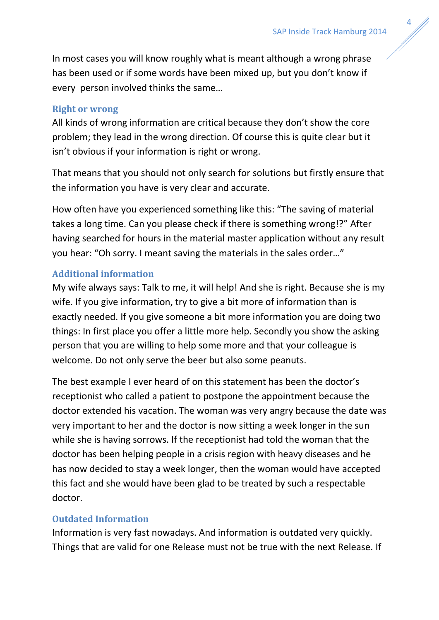In most cases you will know roughly what is meant although a wrong phrase has been used or if some words have been mixed up, but you don't know if every person involved thinks the same…

### **Right or wrong**

All kinds of wrong information are critical because they don't show the core problem; they lead in the wrong direction. Of course this is quite clear but it isn't obvious if your information is right or wrong.

That means that you should not only search for solutions but firstly ensure that the information you have is very clear and accurate.

How often have you experienced something like this: "The saving of material takes a long time. Can you please check if there is something wrong!?" After having searched for hours in the material master application without any result you hear: "Oh sorry. I meant saving the materials in the sales order…"

#### **Additional information**

My wife always says: Talk to me, it will help! And she is right. Because she is my wife. If you give information, try to give a bit more of information than is exactly needed. If you give someone a bit more information you are doing two things: In first place you offer a little more help. Secondly you show the asking person that you are willing to help some more and that your colleague is welcome. Do not only serve the beer but also some peanuts.

The best example I ever heard of on this statement has been the doctor's receptionist who called a patient to postpone the appointment because the doctor extended his vacation. The woman was very angry because the date was very important to her and the doctor is now sitting a week longer in the sun while she is having sorrows. If the receptionist had told the woman that the doctor has been helping people in a crisis region with heavy diseases and he has now decided to stay a week longer, then the woman would have accepted this fact and she would have been glad to be treated by such a respectable doctor.

### **Outdated Information**

Information is very fast nowadays. And information is outdated very quickly. Things that are valid for one Release must not be true with the next Release. If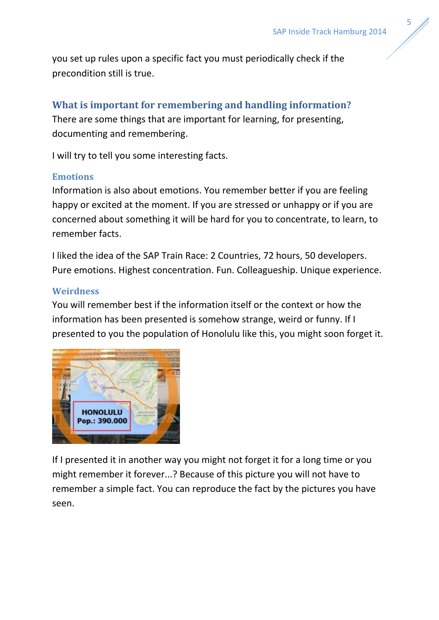you set up rules upon a specific fact you must periodically check if the precondition still is true.

# **What is important for remembering and handling information?**

There are some things that are important for learning, for presenting, documenting and remembering.

I will try to tell you some interesting facts.

### **Emotions**

Information is also about emotions. You remember better if you are feeling happy or excited at the moment. If you are stressed or unhappy or if you are concerned about something it will be hard for you to concentrate, to learn, to remember facts.

I liked the idea of the SAP Train Race: 2 Countries, 72 hours, 50 developers. Pure emotions. Highest concentration. Fun. Colleagueship. Unique experience.

### **Weirdness**

You will remember best if the information itself or the context or how the information has been presented is somehow strange, weird or funny. If I presented to you the population of Honolulu like this, you might soon forget it.



If I presented it in another way you might not forget it for a long time or you might remember it forever...? Because of this picture you will not have to remember a simple fact. You can reproduce the fact by the pictures you have seen.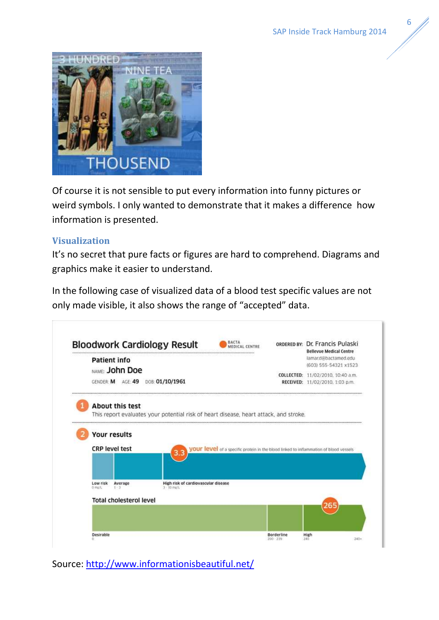

Of course it is not sensible to put every information into funny pictures or weird symbols. I only wanted to demonstrate that it makes a difference how information is presented.

#### **Visualization**

It's no secret that pure facts or figures are hard to comprehend. Diagrams and graphics make it easier to understand.

In the following case of visualized data of a blood test specific values are not only made visible, it also shows the range of "accepted" data.



Source:<http://www.informationisbeautiful.net/>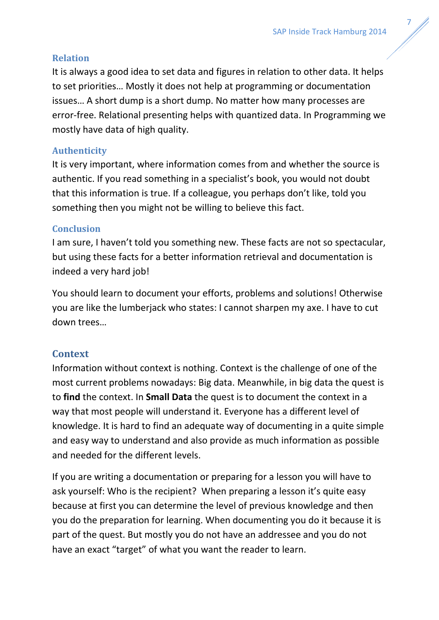## **Relation**

It is always a good idea to set data and figures in relation to other data. It helps to set priorities… Mostly it does not help at programming or documentation issues… A short dump is a short dump. No matter how many processes are error-free. Relational presenting helps with quantized data. In Programming we mostly have data of high quality.

## **Authenticity**

It is very important, where information comes from and whether the source is authentic. If you read something in a specialist's book, you would not doubt that this information is true. If a colleague, you perhaps don't like, told you something then you might not be willing to believe this fact.

### **Conclusion**

I am sure, I haven't told you something new. These facts are not so spectacular, but using these facts for a better information retrieval and documentation is indeed a very hard job!

You should learn to document your efforts, problems and solutions! Otherwise you are like the lumberjack who states: I cannot sharpen my axe. I have to cut down trees…

# **Context**

Information without context is nothing. Context is the challenge of one of the most current problems nowadays: Big data. Meanwhile, in big data the quest is to **find** the context. In **Small Data** the quest is to document the context in a way that most people will understand it. Everyone has a different level of knowledge. It is hard to find an adequate way of documenting in a quite simple and easy way to understand and also provide as much information as possible and needed for the different levels.

If you are writing a documentation or preparing for a lesson you will have to ask yourself: Who is the recipient? When preparing a lesson it's quite easy because at first you can determine the level of previous knowledge and then you do the preparation for learning. When documenting you do it because it is part of the quest. But mostly you do not have an addressee and you do not have an exact "target" of what you want the reader to learn.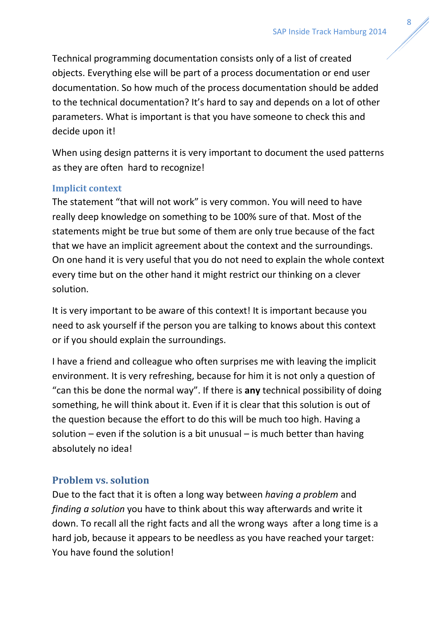Technical programming documentation consists only of a list of created objects. Everything else will be part of a process documentation or end user documentation. So how much of the process documentation should be added to the technical documentation? It's hard to say and depends on a lot of other parameters. What is important is that you have someone to check this and decide upon it!

When using design patterns it is very important to document the used patterns as they are often hard to recognize!

### **Implicit context**

The statement "that will not work" is very common. You will need to have really deep knowledge on something to be 100% sure of that. Most of the statements might be true but some of them are only true because of the fact that we have an implicit agreement about the context and the surroundings. On one hand it is very useful that you do not need to explain the whole context every time but on the other hand it might restrict our thinking on a clever solution.

It is very important to be aware of this context! It is important because you need to ask yourself if the person you are talking to knows about this context or if you should explain the surroundings.

I have a friend and colleague who often surprises me with leaving the implicit environment. It is very refreshing, because for him it is not only a question of "can this be done the normal way". If there is **any** technical possibility of doing something, he will think about it. Even if it is clear that this solution is out of the question because the effort to do this will be much too high. Having a solution – even if the solution is a bit unusual – is much better than having absolutely no idea!

# **Problem vs. solution**

Due to the fact that it is often a long way between *having a problem* and *finding a solution* you have to think about this way afterwards and write it down. To recall all the right facts and all the wrong ways after a long time is a hard job, because it appears to be needless as you have reached your target: You have found the solution!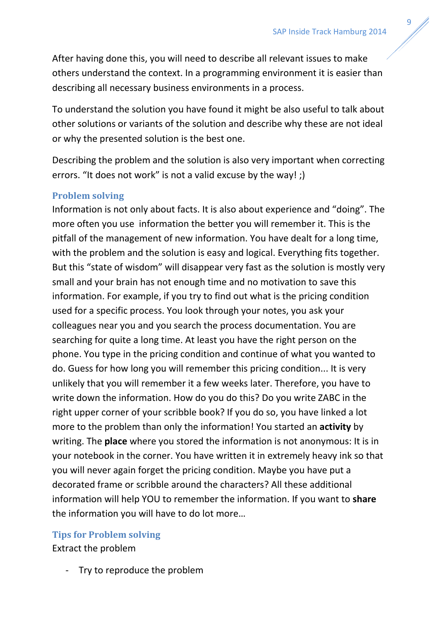After having done this, you will need to describe all relevant issues to make others understand the context. In a programming environment it is easier than describing all necessary business environments in a process.

To understand the solution you have found it might be also useful to talk about other solutions or variants of the solution and describe why these are not ideal or why the presented solution is the best one.

Describing the problem and the solution is also very important when correcting errors. "It does not work" is not a valid excuse by the way! ;)

### **Problem solving**

Information is not only about facts. It is also about experience and "doing". The more often you use information the better you will remember it. This is the pitfall of the management of new information. You have dealt for a long time, with the problem and the solution is easy and logical. Everything fits together. But this "state of wisdom" will disappear very fast as the solution is mostly very small and your brain has not enough time and no motivation to save this information. For example, if you try to find out what is the pricing condition used for a specific process. You look through your notes, you ask your colleagues near you and you search the process documentation. You are searching for quite a long time. At least you have the right person on the phone. You type in the pricing condition and continue of what you wanted to do. Guess for how long you will remember this pricing condition... It is very unlikely that you will remember it a few weeks later. Therefore, you have to write down the information. How do you do this? Do you write ZABC in the right upper corner of your scribble book? If you do so, you have linked a lot more to the problem than only the information! You started an **activity** by writing. The **place** where you stored the information is not anonymous: It is in your notebook in the corner. You have written it in extremely heavy ink so that you will never again forget the pricing condition. Maybe you have put a decorated frame or scribble around the characters? All these additional information will help YOU to remember the information. If you want to **share** the information you will have to do lot more…

#### **Tips for Problem solving**

Extract the problem

Try to reproduce the problem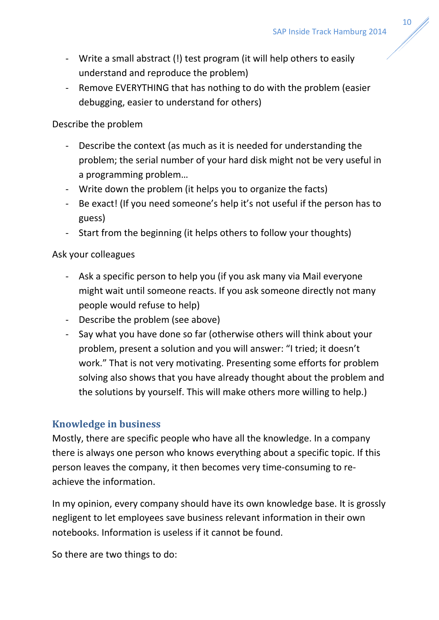- Write a small abstract (!) test program (it will help others to easily understand and reproduce the problem)
- Remove EVERYTHING that has nothing to do with the problem (easier debugging, easier to understand for others)

### Describe the problem

- Describe the context (as much as it is needed for understanding the problem; the serial number of your hard disk might not be very useful in a programming problem…
- Write down the problem (it helps you to organize the facts)
- Be exact! (If you need someone's help it's not useful if the person has to guess)
- Start from the beginning (it helps others to follow your thoughts)

### Ask your colleagues

- Ask a specific person to help you (if you ask many via Mail everyone might wait until someone reacts. If you ask someone directly not many people would refuse to help)
- Describe the problem (see above)
- Say what you have done so far (otherwise others will think about your problem, present a solution and you will answer: "I tried; it doesn't work." That is not very motivating. Presenting some efforts for problem solving also shows that you have already thought about the problem and the solutions by yourself. This will make others more willing to help.)

## **Knowledge in business**

Mostly, there are specific people who have all the knowledge. In a company there is always one person who knows everything about a specific topic. If this person leaves the company, it then becomes very time-consuming to reachieve the information.

In my opinion, every company should have its own knowledge base. It is grossly negligent to let employees save business relevant information in their own notebooks. Information is useless if it cannot be found.

So there are two things to do: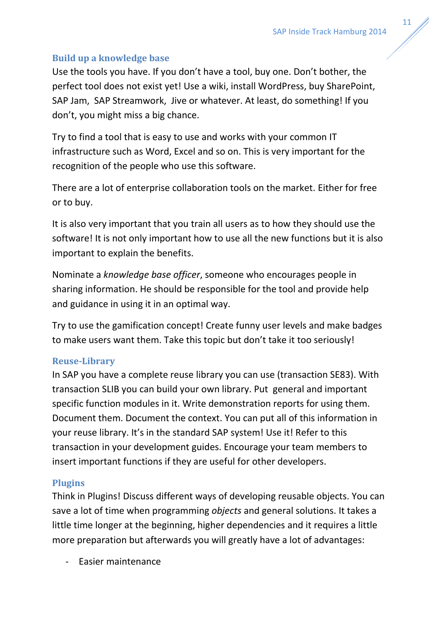## **Build up a knowledge base**

Use the tools you have. If you don't have a tool, buy one. Don't bother, the perfect tool does not exist yet! Use a wiki, install WordPress, buy SharePoint, SAP Jam, SAP Streamwork, Jive or whatever. At least, do something! If you don't, you might miss a big chance.

Try to find a tool that is easy to use and works with your common IT infrastructure such as Word, Excel and so on. This is very important for the recognition of the people who use this software.

There are a lot of enterprise collaboration tools on the market. Either for free or to buy.

It is also very important that you train all users as to how they should use the software! It is not only important how to use all the new functions but it is also important to explain the benefits.

Nominate a *knowledge base officer*, someone who encourages people in sharing information. He should be responsible for the tool and provide help and guidance in using it in an optimal way.

Try to use the gamification concept! Create funny user levels and make badges to make users want them. Take this topic but don't take it too seriously!

### **Reuse-Library**

In SAP you have a complete reuse library you can use (transaction SE83). With transaction SLIB you can build your own library. Put general and important specific function modules in it. Write demonstration reports for using them. Document them. Document the context. You can put all of this information in your reuse library. It's in the standard SAP system! Use it! Refer to this transaction in your development guides. Encourage your team members to insert important functions if they are useful for other developers.

## **Plugins**

Think in Plugins! Discuss different ways of developing reusable objects. You can save a lot of time when programming *objects* and general solutions. It takes a little time longer at the beginning, higher dependencies and it requires a little more preparation but afterwards you will greatly have a lot of advantages:

- Easier maintenance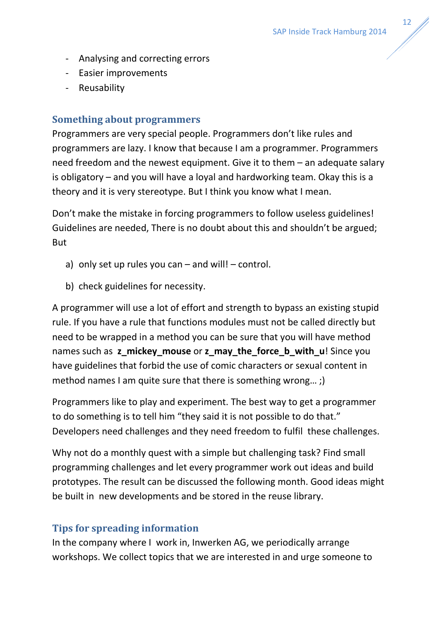- Analysing and correcting errors
- Easier improvements
- Reusability

## **Something about programmers**

Programmers are very special people. Programmers don't like rules and programmers are lazy. I know that because I am a programmer. Programmers need freedom and the newest equipment. Give it to them – an adequate salary is obligatory – and you will have a loyal and hardworking team. Okay this is a theory and it is very stereotype. But I think you know what I mean.

Don't make the mistake in forcing programmers to follow useless guidelines! Guidelines are needed, There is no doubt about this and shouldn't be argued; But

- a) only set up rules you can  $-$  and will!  $-$  control.
- b) check guidelines for necessity.

A programmer will use a lot of effort and strength to bypass an existing stupid rule. If you have a rule that functions modules must not be called directly but need to be wrapped in a method you can be sure that you will have method names such as **z\_mickey\_mouse** or **z\_may\_the\_force\_b\_with\_u**! Since you have guidelines that forbid the use of comic characters or sexual content in method names I am quite sure that there is something wrong...;)

Programmers like to play and experiment. The best way to get a programmer to do something is to tell him "they said it is not possible to do that." Developers need challenges and they need freedom to fulfil these challenges.

Why not do a monthly quest with a simple but challenging task? Find small programming challenges and let every programmer work out ideas and build prototypes. The result can be discussed the following month. Good ideas might be built in new developments and be stored in the reuse library.

## **Tips for spreading information**

In the company where I work in, Inwerken AG, we periodically arrange workshops. We collect topics that we are interested in and urge someone to